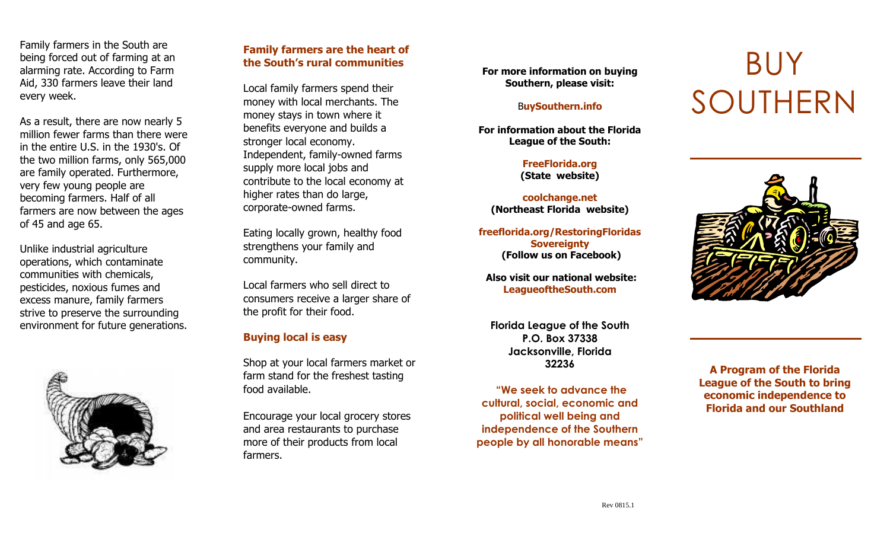Family farmers in the South are being forced out of farming at an alarming rate. According to Farm Aid, 330 farmers leave their land every week.

As a result, there are now nearly 5 million fewer farms than there were in the entire U.S. in the 1930's. Of the two million farms, only 565,000 are family operated. Furthermore, very few young people are becoming farmers. Half of all farmers are now between the ages of 45 and age 65.

Unlike industrial agriculture operations, which contaminate communities with chemicals, pesticides, noxious fumes and excess manure, family farmers strive to preserve the surrounding environment for future generations.



## **Family farmers are the heart of the South's rural communities**

Local family farmers spend their money with local merchants. The money stays in town where it benefits everyone and builds a stronger local economy. Independent, family -owned farms supply more local jobs and contribute to the local economy at higher rates than do large, corporate -owned farms.

Eating locally grown, healthy food strengthens your family and community.

Local farmers who sell direct to consumers receive a larger share of the profit for their food.

## **Buying local is easy**

Shop at your local farmers market or farm stand for the freshest tasting food available.

Encourage your local grocery stores and area restaurants to purchase more of their products from local farmers.

**For more information on buying Southern, please visit:**

#### B**uySouthern.info**

**For information about the Florida League of the South:**

> **FreeFlorida.org (State website)**

**coolchange.net (Northeast Florida website)**

**freeflorida.org/RestoringFloridas Sovereignty (Follow us on Facebook)** 

**Also visit our national website: LeagueoftheSouth.com**

**Florida League of the South P.O. Box 37338 Jacksonville, Florida 32236**

**"We seek to advance the cultural, social, economic and political well being and independence of the Southern people by all honorable means"**

# BUY SOUTHERN



**A Program of the Florida League of the South to bring economic independence to Florida and our Southland**